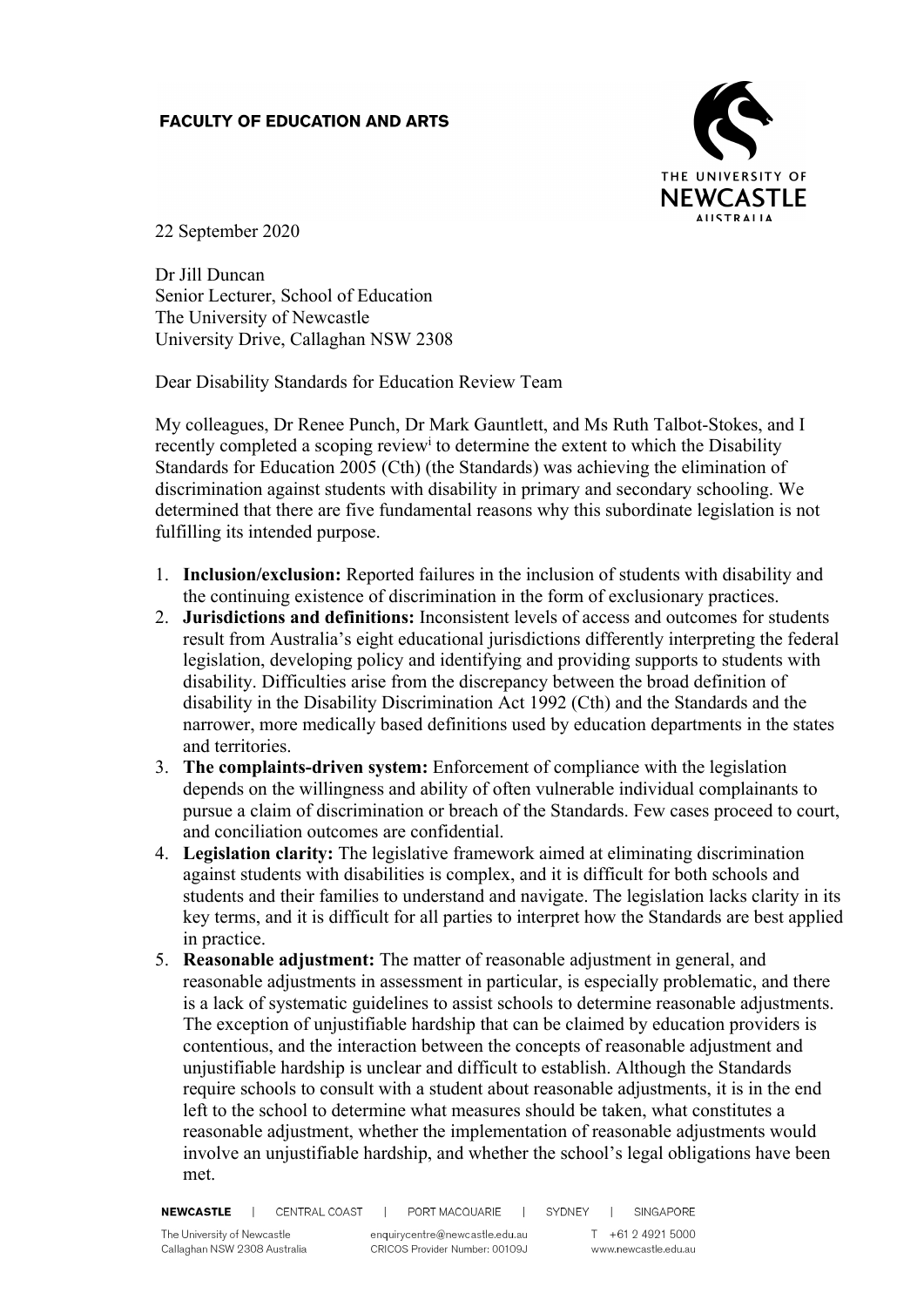## **FACULTY OF EDUCATION AND ARTS**



22 September 2020

Dr Jill Duncan Senior Lecturer, School of Education The University of Newcastle University Drive, Callaghan NSW 2308

Dear Disability Standards for Education Review Team

My colleagues, Dr Renee Punch, Dr Mark Gauntlett, and Ms Ruth Talbot-Stokes, and I recently completed a scoping review<sup>i</sup> to determine the extent to which the Disability Standards for Education 2005 (Cth) (the Standards) was achieving the elimination of discrimination against students with disability in primary and secondary schooling. We determined that there are five fundamental reasons why this subordinate legislation is not fulfilling its intended purpose.

- 1. **Inclusion/exclusion:** Reported failures in the inclusion of students with disability and the continuing existence of discrimination in the form of exclusionary practices.
- 2. **Jurisdictions and definitions:** Inconsistent levels of access and outcomes for students result from Australia's eight educational jurisdictions differently interpreting the federal legislation, developing policy and identifying and providing supports to students with disability. Difficulties arise from the discrepancy between the broad definition of disability in the Disability Discrimination Act 1992 (Cth) and the Standards and the narrower, more medically based definitions used by education departments in the states and territories.
- 3. **The complaints-driven system:** Enforcement of compliance with the legislation depends on the willingness and ability of often vulnerable individual complainants to pursue a claim of discrimination or breach of the Standards. Few cases proceed to court, and conciliation outcomes are confidential.
- 4. **Legislation clarity:** The legislative framework aimed at eliminating discrimination against students with disabilities is complex, and it is difficult for both schools and students and their families to understand and navigate. The legislation lacks clarity in its key terms, and it is difficult for all parties to interpret how the Standards are best applied in practice.
- 5. **Reasonable adjustment:** The matter of reasonable adjustment in general, and reasonable adjustments in assessment in particular, is especially problematic, and there is a lack of systematic guidelines to assist schools to determine reasonable adjustments. The exception of unjustifiable hardship that can be claimed by education providers is contentious, and the interaction between the concepts of reasonable adjustment and unjustifiable hardship is unclear and difficult to establish. Although the Standards require schools to consult with a student about reasonable adjustments, it is in the end left to the school to determine what measures should be taken, what constitutes a reasonable adjustment, whether the implementation of reasonable adjustments would involve an unjustifiable hardship, and whether the school's legal obligations have been met.

NEWCASTLE | CENTRAL COAST | PORT MACQUARIE | SYDNEY | SINGAPORE

The University of Newcastle Callaghan NSW 2308 Australia enquirycentre@newcastle.edu.au CRICOS Provider Number: 00109J

T +61 2 4921 5000 www.newcastle.edu.au